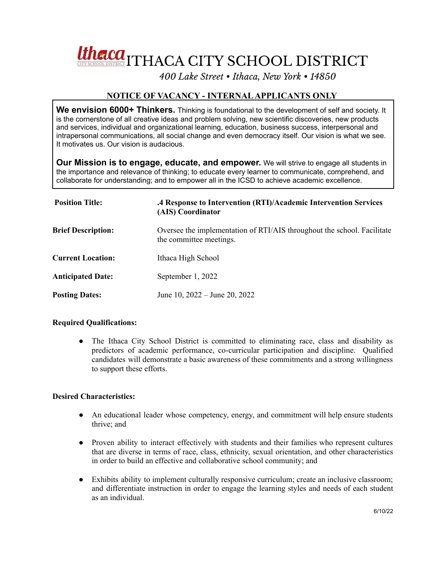Utherca<sub>ll</sub> THACA CITY SCHOOL DISTRICT

*400 Lake Street • Ithaca, New York • 14850*

## **NOTICE OF VACANCY - INTERNALAPPLICANTS ONLY**

**We envision 6000+ Thinkers.** Thinking is foundational to the development of self and society. It is the cornerstone of all creative ideas and problem solving, new scientific discoveries, new products and services, individual and organizational learning, education, business success, interpersonal and intrapersonal communications, all social change and even democracy itself. Our vision is what we see. It motivates us. Our vision is audacious.

**Our Mission is to engage, educate, and empower.** We will strive to engage all students in the importance and relevance of thinking; to educate every learner to communicate, comprehend, and collaborate for understanding; and to empower all in the ICSD to achieve academic excellence.

| <b>Position Title:</b>    | .4 Response to Intervention (RTI)/Academic Intervention Services<br>(AIS) Coordinator              |
|---------------------------|----------------------------------------------------------------------------------------------------|
| <b>Brief Description:</b> | Oversee the implementation of RTI/AIS throughout the school. Facilitate<br>the committee meetings. |
| <b>Current Location:</b>  | Ithaca High School                                                                                 |
| <b>Anticipated Date:</b>  | September 1, 2022                                                                                  |
| <b>Posting Dates:</b>     | June 10, $2022 -$ June 20, $2022$                                                                  |

## **Required Qualifications:**

• The Ithaca City School District is committed to eliminating race, class and disability as predictors of academic performance, co-curricular participation and discipline. Qualified candidates will demonstrate a basic awareness of these commitments and a strong willingness to support these efforts.

## **Desired Characteristics:**

- An educational leader whose competency, energy, and commitment will help ensure students thrive; and
- Proven ability to interact effectively with students and their families who represent cultures that are diverse in terms of race, class, ethnicity, sexual orientation, and other characteristics in order to build an effective and collaborative school community; and
- Exhibits ability to implement culturally responsive curriculum; create an inclusive classroom; and differentiate instruction in order to engage the learning styles and needs of each student as an individual.